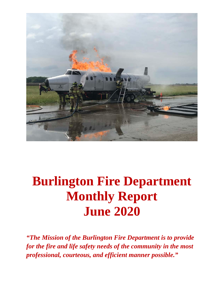

# **Burlington Fire Department Monthly Report June 2020**

*"The Mission of the Burlington Fire Department is to provide for the fire and life safety needs of the community in the most professional, courteous, and efficient manner possible."*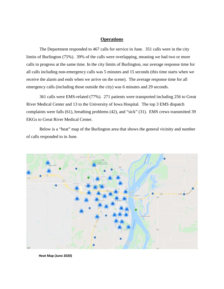#### **Operations**

The Department responded to 467 calls for service in June. 351 calls were in the city limits of Burlington (75%). 39% of the calls were overlapping, meaning we had two or more calls in progress at the same time. In the city limits of Burlington, our average response time for all calls including non-emergency calls was 5 minutes and 15 seconds (this time starts when we receive the alarm and ends when we arrive on the scene). The average response time for all emergency calls (including those outside the city) was 6 minutes and 29 seconds.

361 calls were EMS-related (77%). 271 patients were transported including 256 to Great River Medical Center and 13 to the University of Iowa Hospital. The top 3 EMS dispatch complaints were falls (61), breathing problems (42), and "sick" (31). EMS crews transmitted 39 EKGs to Great River Medical Center.

Below is a "heat" map of the Burlington area that shows the general vicinity and number of calls responded to in June.



 **Heat Map (June 2020)**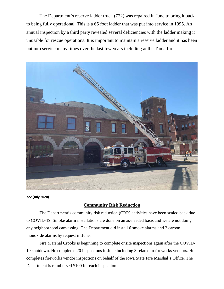The Department's reserve ladder truck (722) was repaired in June to bring it back to being fully operational. This is a 65 foot ladder that was put into service in 1995. An annual inspection by a third party revealed several deficiencies with the ladder making it unusable for rescue operations. It is important to maintain a reserve ladder and it has been put into service many times over the last few years including at the Tama fire.



**722 (July 2020)**

### **Community Risk Reduction**

The Department's community risk reduction (CRR) activities have been scaled back due to COVID-19. Smoke alarm installations are done on an as-needed basis and we are not doing any neighborhood canvassing. The Department did install 6 smoke alarms and 2 carbon monoxide alarms by request in June.

Fire Marshal Crooks is beginning to complete onsite inspections again after the COVID-19 shutdown. He completed 20 inspections in June including 3 related to fireworks vendors. He completes fireworks vendor inspections on behalf of the Iowa State Fire Marshal's Office. The Department is reimbursed \$100 for each inspection.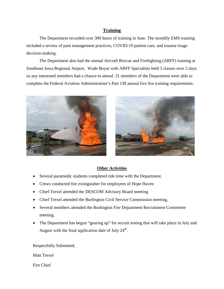### **Training**

The Department recorded over 300 hours of training in June. The monthly EMS training included a review of pain management practices, COVID-19 patient care, and trauma triage decision-making.

The Department also had the annual Aircraft Rescue and Firefighting (ARFF) training at Southeast Iowa Regional Airport. Wade Boyat with ARFF Specialists held 3 classes over 2 days so any interested members had a chance to attend. 31 members of the Department were able to complete the Federal Aviation Administration's Part 139 annual live fire training requirements.





### **Other Activities**

- Several paramedic students completed ride time with the Department.
- Crews conducted fire extinguisher for employees of Hope Haven
- Chief Trexel attended the DESCOM Advisory Board meeting
- Chief Trexel attended the Burlington Civil Service Commission meeting.
- Several members attended the Burlington Fire Department Recruitment Committee meeting.
- The Department has begun "gearing up" for recruit testing that will take place in July and August with the final application date of July  $24<sup>th</sup>$ .

Respectfully Submitted,

Matt Trexel

Fire Chief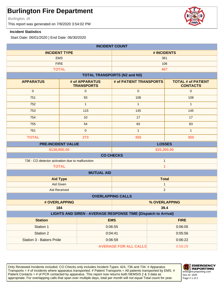Burlington, IA

This report was generated on 7/9/2020 3:54:02 PM

#### **Incident Statistics**

Start Date: 06/01/2020 | End Date: 06/30/2020

| <b>INCIDENT COUNT</b>                                                         |                                     |                                     |                                              |  |
|-------------------------------------------------------------------------------|-------------------------------------|-------------------------------------|----------------------------------------------|--|
| <b>INCIDENT TYPE</b>                                                          |                                     | # INCIDENTS                         |                                              |  |
| <b>EMS</b>                                                                    |                                     | 361                                 |                                              |  |
|                                                                               | <b>FIRE</b>                         | 106                                 |                                              |  |
|                                                                               | <b>TOTAL</b>                        | 467                                 |                                              |  |
|                                                                               |                                     | <b>TOTAL TRANSPORTS (N2 and N3)</b> |                                              |  |
| <b>APPARATUS</b>                                                              | # of APPARATUS<br><b>TRANSPORTS</b> | # of PATIENT TRANSPORTS             | <b>TOTAL # of PATIENT</b><br><b>CONTACTS</b> |  |
| $\mathbf 0$                                                                   | $\mathsf{O}\xspace$                 | $\mathbf 0$                         | $\mathbf 0$                                  |  |
| 751                                                                           | 93                                  | 108                                 | 108                                          |  |
| 752                                                                           | $\mathbf{1}$                        | $\mathbf{1}$                        | $\mathbf{1}$                                 |  |
| 753                                                                           | 115                                 | 145                                 | 145                                          |  |
| 754                                                                           | 10                                  | 17                                  | 17                                           |  |
| 755                                                                           | 54                                  | 83                                  | 83                                           |  |
| 761                                                                           | $\mathbf 0$                         | $\mathbf{1}$                        | $\mathbf{1}$                                 |  |
| <b>TOTAL</b>                                                                  | 273                                 | 355                                 | 355                                          |  |
| <b>PRE-INCIDENT VALUE</b>                                                     |                                     |                                     | <b>LOSSES</b>                                |  |
| \$138,900.00<br>\$25,300.00                                                   |                                     |                                     |                                              |  |
|                                                                               |                                     | <b>CO CHECKS</b>                    |                                              |  |
| 736 - CO detector activation due to malfunction                               |                                     | $\mathbf{1}$                        |                                              |  |
| $\overline{\mathbf{1}}$<br><b>TOTAL</b>                                       |                                     |                                     |                                              |  |
|                                                                               | <b>MUTUAL AID</b>                   |                                     |                                              |  |
| <b>Aid Type</b>                                                               |                                     | <b>Total</b>                        |                                              |  |
| Aid Given                                                                     |                                     | $\mathbf{1}$                        |                                              |  |
| $\overline{2}$<br><b>Aid Received</b>                                         |                                     |                                     |                                              |  |
| <b>OVERLAPPING CALLS</b>                                                      |                                     |                                     |                                              |  |
| # OVERLAPPING                                                                 |                                     | % OVERLAPPING                       |                                              |  |
| 184<br>39.4<br>LIGHTS AND SIREN - AVERAGE RESPONSE TIME (Dispatch to Arrival) |                                     |                                     |                                              |  |
| <b>Station</b><br><b>EMS</b><br><b>FIRE</b>                                   |                                     |                                     |                                              |  |
| Station 1                                                                     |                                     | 0:06:55                             | 0:06:05                                      |  |
| <b>Station 2</b>                                                              |                                     | 0:04:41                             | 0:05:56                                      |  |
| Station 3 - Bakers Pride                                                      |                                     | 0:06:59                             | 0:06:22                                      |  |
|                                                                               |                                     | <b>AVERAGE FOR ALL CALLS</b>        | 0:06:29                                      |  |
|                                                                               |                                     |                                     |                                              |  |

Only Reviewed Incidents included. CO Checks only includes Incident Types: 424, 736 and 734. # Apparatus Transports  $=$  # of incidents where apparatus transported. # Patient Transports  $=$  All patients transported by EMS. # Patient Contacts = # of PCR contacted by apparatus. This report now returns both NEMSIS 2 & 3 data as appropriate. For overlapping calls that span over multiple days, total per month will not equal Total count for year. | Page # 1 of 2



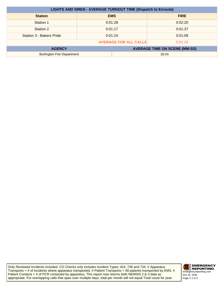| <b>LIGHTS AND SIREN - AVERAGE TURNOUT TIME (Dispatch to Enroute)</b> |            |                                      |             |
|----------------------------------------------------------------------|------------|--------------------------------------|-------------|
| <b>Station</b>                                                       | <b>EMS</b> |                                      | <b>FIRE</b> |
| Station 1                                                            | 0:01:28    |                                      | 0:02:20     |
| Station 2                                                            | 0:01:17    |                                      | 0:01:37     |
| <b>Station 3 - Bakers Pride</b>                                      | 0:01:24    |                                      | 0:01:09     |
| <b>AVERAGE FOR ALL CALLS</b><br>0:01:26                              |            |                                      |             |
| <b>AGENCY</b>                                                        |            | <b>AVERAGE TIME ON SCENE (MM:SS)</b> |             |
| <b>Burlington Fire Department</b>                                    |            | 18:24                                |             |

Only Reviewed Incidents included. CO Checks only includes Incident Types: 424, 736 and 734. # Apparatus Transports = # of incidents where apparatus transported. # Patient Transports = All patients transported by EMS. # Patient Contacts  $=$  # of PCR contacted by apparatus. This report now returns both NEMSIS 2 & 3 data as appropriate. For overlapping calls that span over multiple days, total per month will not equal Total count for year. Page # 2 of 2

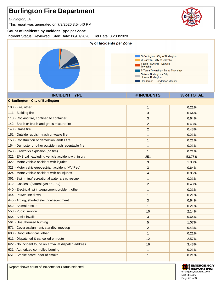Burlington, IA

This report was generated on 7/9/2020 3:54:40 PM

### **Count of Incidents by Incident Type per Zone**

Incident Status: Reviewed | Start Date: 06/01/2020 | End Date: 06/30/2020



Report shows count of incidents for Status selected.



**EMERGENCY REPORTING** emergencyreporting.com Doc Id: 1390 Page # 1 of 3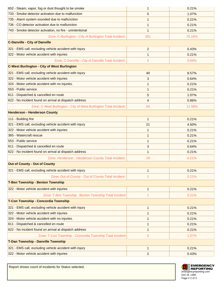| 652 - Steam, vapor, fog or dust thought to be smoke               | 1              | 0.21%  |
|-------------------------------------------------------------------|----------------|--------|
| 733 - Smoke detector activation due to malfunction                | 5              | 1.07%  |
| 735 - Alarm system sounded due to malfunction                     | 1              | 0.21%  |
| 736 - CO detector activation due to malfunction                   | 1              | 0.21%  |
| 743 - Smoke detector activation, no fire - unintentional          | 1              | 0.21%  |
| Zone: C-Burlington - City of Burlington Total Incident:           | 351            | 75.16% |
| <b>C-Danville - City of Danville</b>                              |                |        |
| 321 - EMS call, excluding vehicle accident with injury            | 2              | 0.43%  |
| 322 - Motor vehicle accident with injuries                        | 1              | 0.21%  |
| Zone: C-Danville - City of Danville Total Incident:               | 3              | 0.64%  |
| <b>C-West Burlington - City of West Burlington</b>                |                |        |
| 321 - EMS call, excluding vehicle accident with injury            | 40             | 8.57%  |
| 322 - Motor vehicle accident with injuries                        | 3              | 0.64%  |
| 324 - Motor vehicle accident with no injuries.                    | 1              | 0.21%  |
| 553 - Public service                                              | 1              | 0.21%  |
| 611 - Dispatched & cancelled en route                             | 5              | 1.07%  |
| 622 - No incident found on arrival at dispatch address            | 4              | 0.86%  |
| Zone: C-West Burlington - City of West Burlington Total Incident: | 54             | 11.56% |
| <b>Henderson - Henderson County</b>                               |                |        |
| 111 - Building fire                                               | $\mathbf{1}$   | 0.21%  |
| 321 - EMS call, excluding vehicle accident with injury            | 21             | 4.50%  |
| 322 - Motor vehicle accident with injuries                        | 1              | 0.21%  |
| 365 - Watercraft rescue                                           | 1              | 0.21%  |
| 553 - Public service                                              | 1              | 0.21%  |
| 611 - Dispatched & cancelled en route                             | 3              | 0.64%  |
| 622 - No incident found on arrival at dispatch address            | 1              | 0.21%  |
| Zone: Henderson - Henderson County Total Incident:                | 29             | 6.21%  |
| <b>Out of County - Out of County</b>                              |                |        |
| 321 - EMS call, excluding vehicle accident with injury            | $\mathbf{1}$   | 0.21%  |
| Zone: Out of County - Out of County Total Incident:               | 1              | 0.21%  |
| <b>T-Ben Township - Benton Township</b>                           |                |        |
| 322 - Motor vehicle accident with injuries                        | $\mathbf{1}$   | 0.21%  |
| Zone: T-Ben Township - Benton Township Total Incident:            | 1              | 0.21%  |
| T-Con Township - Concordia Township                               |                |        |
| 321 - EMS call, excluding vehicle accident with injury            | $\mathbf{1}$   | 0.21%  |
| 322 - Motor vehicle accident with injuries                        | 1              | 0.21%  |
| 324 - Motor vehicle accident with no injuries.                    | 1              | 0.21%  |
| 611 - Dispatched & cancelled en route                             | 1              | 0.21%  |
| 622 - No incident found on arrival at dispatch address            | 1              | 0.21%  |
| Zone: T-Con Township - Concordia Township Total Incident:         | 5              | 1.07%  |
| T-Dan Township - Danville Township                                |                |        |
| 321 - EMS call, excluding vehicle accident with injury            | $\mathbf{1}$   | 0.21%  |
| 322 - Motor vehicle accident with injuries                        | $\overline{2}$ | 0.43%  |
|                                                                   |                |        |

Report shows count of incidents for Status selected.

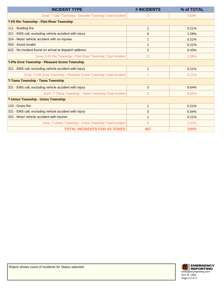| <b>INCIDENT TYPE</b>                                                | # INCIDENTS | % of TOTAL |
|---------------------------------------------------------------------|-------------|------------|
| Zone: T-Dan Township - Danville Township Total Incident:            | 3           | 0.64%      |
| <b>T-Fit Riv Township - Flint River Township</b>                    |             |            |
| 111 - Building fire                                                 | 1           | 0.21%      |
| 321 - EMS call, excluding vehicle accident with injury              | 6           | 1.28%      |
| 324 - Motor vehicle accident with no injuries.                      |             | 0.21%      |
| 554 - Assist invalid                                                | 1           | 0.21%      |
| 622 - No incident found on arrival at dispatch address              | 2           | 0.43%      |
| Zone: T-Flt Riv Township - Flint River Township Total Incident:     | 11          | 2.36%      |
| T-Ple Grve Township - Pleasant Grove Township                       |             |            |
| 321 - EMS call, excluding vehicle accident with injury              | 1           | 0.21%      |
| Zone: T-Ple Grve Township - Pleasant Grove Township Total Incident: |             | 0.21%      |
| T-Tama Township - Tama Township                                     |             |            |
| 321 - EMS call, excluding vehicle accident with injury              | 3           | 0.64%      |
| Zone: T-Tama Township - Tama Township Total Incident                | 3           | 0.64%      |
| <b>T-Union Township - Union Township</b>                            |             |            |
| 143 - Grass fire                                                    | 1           | 0.21%      |
| 321 - EMS call, excluding vehicle accident with injury              | 3           | 0.64%      |
| 322 - Motor vehicle accident with injuries                          | 1           | 0.21%      |
| Zone: T-Union Township - Union Township Total Incident:             | 5           | 1.07%      |
| <b>TOTAL INCIDENTS FOR AII ZONES:</b>                               | 467         | 100%       |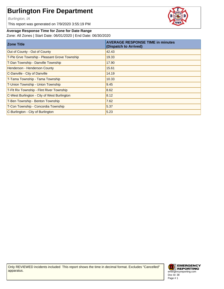Burlington, IA

This report was generated on 7/9/2020 3:55:19 PM

#### **Average Response Time for Zone for Date Range**

Zone: All Zones | Start Date: 06/01/2020 | End Date: 06/30/2020

| <b>Zone Title</b>                             | <b>AVERAGE RESPONSE TIME in minutes</b><br>(Dispatch to Arrived) |
|-----------------------------------------------|------------------------------------------------------------------|
| Out of County - Out of County                 | 42.43                                                            |
| T-Ple Grve Township - Pleasant Grove Township | 19.33                                                            |
| T-Dan Township - Danville Township            | 17.90                                                            |
| Henderson - Henderson County                  | 15.61                                                            |
| C-Danville - City of Danville                 | 14.19                                                            |
| T-Tama Township - Tama Township               | 10.33                                                            |
| T-Union Township - Union Township             | 9.45                                                             |
| T-Flt Riv Township - Flint River Township     | 8.62                                                             |
| C-West Burlington - City of West Burlington   | 8.12                                                             |
| T-Ben Township - Benton Township              | 7.62                                                             |
| T-Con Township - Concordia Township           | 5.37                                                             |
| C-Burlington - City of Burlington             | 5.23                                                             |

Only REVIEWED incidents included This report shows the time in decimal format. Excludes "Cancelled" apparatus.



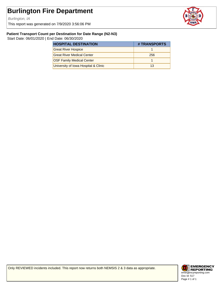Burlington, IA

This report was generated on 7/9/2020 3:56:06 PM



#### **Patient Transport Count per Destination for Date Range (N2-N3)**

Start Date: 06/01/2020 | End Date: 06/30/2020

| <b>HOSPITAL DESTINATION</b>          | # TRANSPORTS |
|--------------------------------------|--------------|
| <b>Great River Hospice</b>           |              |
| <b>Great River Medical Center</b>    | 256          |
| <b>OSF Family Medical Center</b>     |              |
| University of Iowa Hospital & Clinic | 13           |

Only REVIEWED incidents included. This report now returns both NEMSIS 2 & 3 data as appropriate.

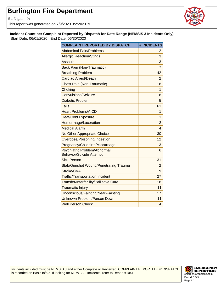Burlington, IA

This report was generated on 7/9/2020 3:25:02 PM



#### **Incident Count per Complaint Reported by Dispatch for Date Range (NEMSIS 3 Incidents Only)**

Start Date: 06/01/2020 | End Date: 06/30/2020

| <b>COMPLAINT REPORTED BY DISPATCH</b>                           | # INCIDENTS    |
|-----------------------------------------------------------------|----------------|
| <b>Abdominal Pain/Problems</b>                                  | 12             |
| <b>Allergic Reaction/Stings</b>                                 | 3              |
| <b>Assault</b>                                                  | 3              |
| <b>Back Pain (Non-Traumatic)</b>                                | $\overline{7}$ |
| <b>Breathing Problem</b>                                        | 42             |
| Cardiac Arrest/Death                                            | $\overline{2}$ |
| <b>Chest Pain (Non-Traumatic)</b>                               | 18             |
| Choking                                                         | 1              |
| <b>Convulsions/Seizure</b>                                      | 8              |
| <b>Diabetic Problem</b>                                         | 5              |
| Falls                                                           | 61             |
| <b>Heart Problems/AICD</b>                                      | 1              |
| <b>Heat/Cold Exposure</b>                                       | 1              |
| Hemorrhage/Laceration                                           | $\overline{2}$ |
| <b>Medical Alarm</b>                                            | 4              |
| No Other Appropriate Choice                                     | 30             |
| Overdose/Poisoning/Ingestion                                    | 12             |
| Pregnancy/Childbirth/Miscarriage                                | 3              |
| Psychiatric Problem/Abnormal<br><b>Behavior/Suicide Attempt</b> | 6              |
| <b>Sick Person</b>                                              | 31             |
| Stab/Gunshot Wound/Penetrating Trauma                           | $\overline{2}$ |
| Stroke/CVA                                                      | 9              |
| <b>Traffic/Transportation Incident</b>                          | 27             |
| Transfer/Interfacility/Palliative Care                          | 18             |
| <b>Traumatic Injury</b>                                         | 11             |
| Unconscious/Fainting/Near-Fainting                              | 17             |
| Unknown Problem/Person Down                                     | 11             |
| <b>Well Person Check</b>                                        | 4              |

Incidents included must be NEMSIS 3 and either Complete or Reviewed. COMPLAINT REPORTED BY DISPATCH is recorded on Basic Info 5. If looking for NEMSIS 2 Incidents, refer to Report #1041.

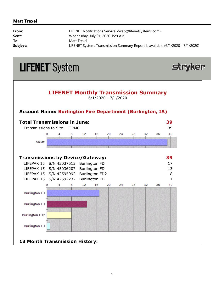### **Matt Trexel**

| From:    | LIFENET Notifications Service <web@lifenetsystems.com></web@lifenetsystems.com> |
|----------|---------------------------------------------------------------------------------|
| Sent:    | Wednesday, July 01, 2020 1:29 AM                                                |
| To:      | Matt Trexel                                                                     |
| Subject: | LIFENET System: Transmission Summary Report is available (6/1/2020 - 7/1/2020)  |



## **13 Month Transmission History:**